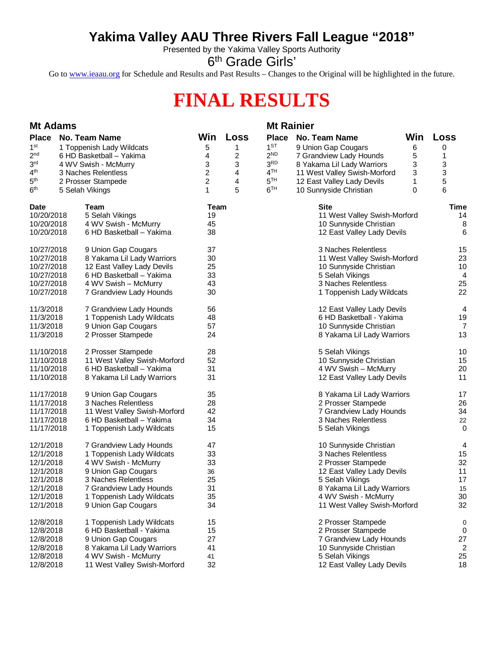## **Yakima Valley AAU Three Rivers Fall League "2018"**

Presented by the Yakima Valley Sports Authority

6<sup>th</sup> Grade Girls'

Go to [www.ieaau.org](http://www.ieaau.org) for Schedule and Results and Past Results – Changes to the Original will be highlighted in the future.

## **FINAL RESULTS**

| <b>Mt Adams</b>                                                                 |                |                |                 | <b>Mt Rainier</b>                             |     |                |  |
|---------------------------------------------------------------------------------|----------------|----------------|-----------------|-----------------------------------------------|-----|----------------|--|
| <b>Place</b><br><b>No. Team Name</b>                                            | Win            | Loss           | <b>Place</b>    | <b>No. Team Name</b>                          | Win | Loss           |  |
| 1 <sup>st</sup><br>1 Toppenish Lady Wildcats                                    | 5              | 1              | 1 <sup>ST</sup> | 9 Union Gap Cougars                           | 6   | 0              |  |
| 2 <sub>nd</sub><br>6 HD Basketball - Yakima                                     | 4              | 2              | 2 <sup>ND</sup> | 7 Grandview Lady Hounds                       | 5   | 1              |  |
| 3 <sup>rd</sup><br>4 WV Swish - McMurry                                         | 3              | 3              | 3 <sup>RD</sup> | 8 Yakama Lil Lady Warriors                    | 3   | 3              |  |
| 4 <sup>th</sup><br>3 Naches Relentless                                          | $\overline{c}$ | 4              | 4 <sup>TH</sup> | 11 West Valley Swish-Morford                  | 3   | 3              |  |
| 5 <sup>th</sup><br>2 Prosser Stampede                                           | $\overline{c}$ | $\overline{4}$ | 5 <sup>TH</sup> | 12 East Valley Lady Devils                    | 1   | 5              |  |
| 6 <sup>th</sup><br>5 Selah Vikings                                              | $\mathbf{1}$   | 5              | 6 <sup>TH</sup> | 10 Sunnyside Christian                        | 0   | 6              |  |
| Date<br>Team                                                                    | Team           |                |                 | <b>Site</b>                                   |     | <b>Time</b>    |  |
| 10/20/2018<br>5 Selah Vikings                                                   | 19             |                |                 | 11 West Valley Swish-Morford                  |     | 14             |  |
| 10/20/2018<br>4 WV Swish - McMurry                                              | 45             |                |                 | 10 Sunnyside Christian                        |     | 8              |  |
| 10/20/2018<br>6 HD Basketball - Yakima                                          | 38             |                |                 | 12 East Valley Lady Devils                    |     | 6              |  |
| 10/27/2018<br>9 Union Gap Cougars                                               | 37             |                |                 | 3 Naches Relentless                           |     | 15             |  |
| 10/27/2018<br>8 Yakama Lil Lady Warriors                                        | 30             |                |                 | 11 West Valley Swish-Morford                  |     | 23             |  |
| 10/27/2018<br>12 East Valley Lady Devils                                        | 25             |                |                 | 10 Sunnyside Christian                        |     | 10             |  |
| 10/27/2018<br>6 HD Basketball - Yakima                                          | 33             |                |                 | 5 Selah Vikings                               |     | $\overline{4}$ |  |
| 10/27/2018<br>4 WV Swish - McMurry                                              | 43             |                |                 | 3 Naches Relentless                           |     | 25             |  |
| 10/27/2018<br>7 Grandview Lady Hounds                                           | 30             |                |                 | 1 Toppenish Lady Wildcats                     |     | 22             |  |
| 7 Grandview Lady Hounds<br>11/3/2018                                            | 56             |                |                 | 12 East Valley Lady Devils                    |     | 4              |  |
| 1 Toppenish Lady Wildcats<br>11/3/2018                                          | 48             |                |                 | 6 HD Basketball - Yakima                      |     | 19             |  |
| 11/3/2018<br>9 Union Gap Cougars                                                | 57             |                |                 | 10 Sunnyside Christian                        |     | 7              |  |
| 11/3/2018<br>2 Prosser Stampede                                                 | 24             |                |                 | 8 Yakama Lil Lady Warriors                    |     | 13             |  |
| 11/10/2018<br>2 Prosser Stampede                                                | 28             |                |                 | 5 Selah Vikings                               |     | 10             |  |
| 11/10/2018<br>11 West Valley Swish-Morford                                      | 52             |                |                 | 10 Sunnyside Christian                        |     | 15             |  |
| 11/10/2018<br>6 HD Basketball - Yakima                                          | 31             |                |                 | 4 WV Swish - McMurry                          |     | 20             |  |
| 11/10/2018<br>8 Yakama Lil Lady Warriors                                        | 31             |                |                 | 12 East Valley Lady Devils                    |     | 11             |  |
| 11/17/2018<br>9 Union Gap Cougars                                               | 35             |                |                 | 8 Yakama Lil Lady Warriors                    |     | 17             |  |
| 3 Naches Relentless<br>11/17/2018                                               | 28             |                |                 | 2 Prosser Stampede                            |     | 26             |  |
| 11/17/2018<br>11 West Valley Swish-Morford                                      | 42             |                |                 | 7 Grandview Lady Hounds                       |     | 34             |  |
| 11/17/2018<br>6 HD Basketball - Yakima<br>11/17/2018                            | 34<br>15       |                |                 | 3 Naches Relentless<br>5 Selah Vikings        |     | 22<br>0        |  |
| 1 Toppenish Lady Wildcats                                                       |                |                |                 |                                               |     |                |  |
| 12/1/2018<br>7 Grandview Lady Hounds                                            | 47             |                |                 | 10 Sunnyside Christian                        |     | 4              |  |
| 1 Toppenish Lady Wildcats<br>12/1/2018                                          | 33             |                |                 | 3 Naches Relentless                           |     | 15<br>32       |  |
| 4 WV Swish - McMurry<br>12/1/2018<br>12/1/2018                                  | 33             |                |                 | 2 Prosser Stampede                            |     | 11             |  |
| 9 Union Gap Cougars<br>3 Naches Relentless<br>12/1/2018                         | 36<br>25       |                |                 | 12 East Valley Lady Devils<br>5 Selah Vikings |     | 17             |  |
| 12/1/2018<br>7 Grandview Lady Hounds                                            | 31             |                |                 | 8 Yakama Lil Lady Warriors                    |     | 15             |  |
| 12/1/2018<br>1 Toppenish Lady Wildcats                                          | 35             |                |                 | 4 WV Swish - McMurry                          |     | 30             |  |
| 12/1/2018<br>9 Union Gap Cougars                                                | 34             |                |                 | 11 West Valley Swish-Morford                  |     | 32             |  |
|                                                                                 |                |                |                 |                                               |     |                |  |
| 1 Toppenish Lady Wildcats<br>12/8/2018<br>12/8/2018<br>6 HD Basketball - Yakima | 15<br>15       |                |                 | 2 Prosser Stampede<br>2 Prosser Stampede      |     | 0<br>0         |  |
| 9 Union Gap Cougars<br>12/8/2018                                                | 27             |                |                 | 7 Grandview Lady Hounds                       |     | 27             |  |
| 12/8/2018<br>8 Yakama Lil Lady Warriors                                         | 41             |                |                 | 10 Sunnyside Christian                        |     | 2              |  |
| 12/8/2018<br>4 WV Swish - McMurry                                               | 41             |                |                 | 5 Selah Vikings                               |     | 25             |  |
| 12/8/2018<br>11 West Valley Swish-Morford                                       | 32             |                |                 | 12 East Valley Lady Devils                    |     | 18             |  |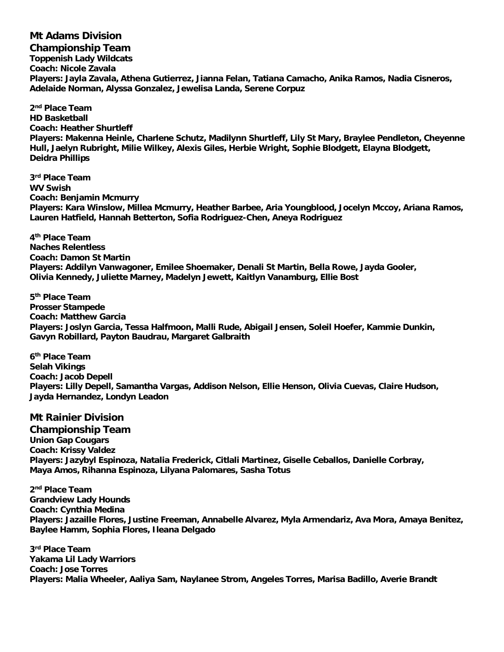**Mt Adams Division Championship Team Toppenish Lady Wildcats Coach: Nicole Zavala Players: Jayla Zavala, Athena Gutierrez, Jianna Felan, Tatiana Camacho, Anika Ramos, Nadia Cisneros, Adelaide Norman, Alyssa Gonzalez, Jewelisa Landa, Serene Corpuz**

**2 nd Place Team HD Basketball Coach: Heather Shurtleff Players: Makenna Heinle, Charlene Schutz, Madilynn Shurtleff, Lily St Mary, Braylee Pendleton, Cheyenne Hull, Jaelyn Rubright, Milie Wilkey, Alexis Giles, Herbie Wright, Sophie Blodgett, Elayna Blodgett, Deidra Phillips**

**3 rd Place Team WV Swish Coach: Benjamin Mcmurry Players: Kara Winslow, Millea Mcmurry, Heather Barbee, Aria Youngblood, Jocelyn Mccoy, Ariana Ramos, Lauren Hatfield, Hannah Betterton, Sofia Rodriguez-Chen, Aneya Rodriguez**

**4 th Place Team Naches Relentless Coach: Damon St Martin Players: Addilyn Vanwagoner, Emilee Shoemaker, Denali St Martin, Bella Rowe, Jayda Gooler, Olivia Kennedy, Juliette Marney, Madelyn Jewett, Kaitlyn Vanamburg, Ellie Bost**

**5 th Place Team Prosser Stampede Coach: Matthew Garcia Players: Joslyn Garcia, Tessa Halfmoon, Malli Rude, Abigail Jensen, Soleil Hoefer, Kammie Dunkin, Gavyn Robillard, Payton Baudrau, Margaret Galbraith**

**6 th Place Team Selah Vikings Coach: Jacob Depell Players: Lilly Depell, Samantha Vargas, Addison Nelson, Ellie Henson, Olivia Cuevas, Claire Hudson, Jayda Hernandez, Londyn Leadon**

**Mt Rainier Division Championship Team Union Gap Cougars Coach: Krissy Valdez Players: Jazybyl Espinoza, Natalia Frederick, Citlali Martinez, Giselle Ceballos, Danielle Corbray, Maya Amos, Rihanna Espinoza, Lilyana Palomares, Sasha Totus**

**2 nd Place Team Grandview Lady Hounds Coach: Cynthia Medina Players: Jazaille Flores, Justine Freeman, Annabelle Alvarez, Myla Armendariz, Ava Mora, Amaya Benitez, Baylee Hamm, Sophia Flores, Ileana Delgado**

**3 rd Place Team Yakama Lil Lady Warriors Coach: Jose Torres Players: Malia Wheeler, Aaliya Sam, Naylanee Strom, Angeles Torres, Marisa Badillo, Averie Brandt**